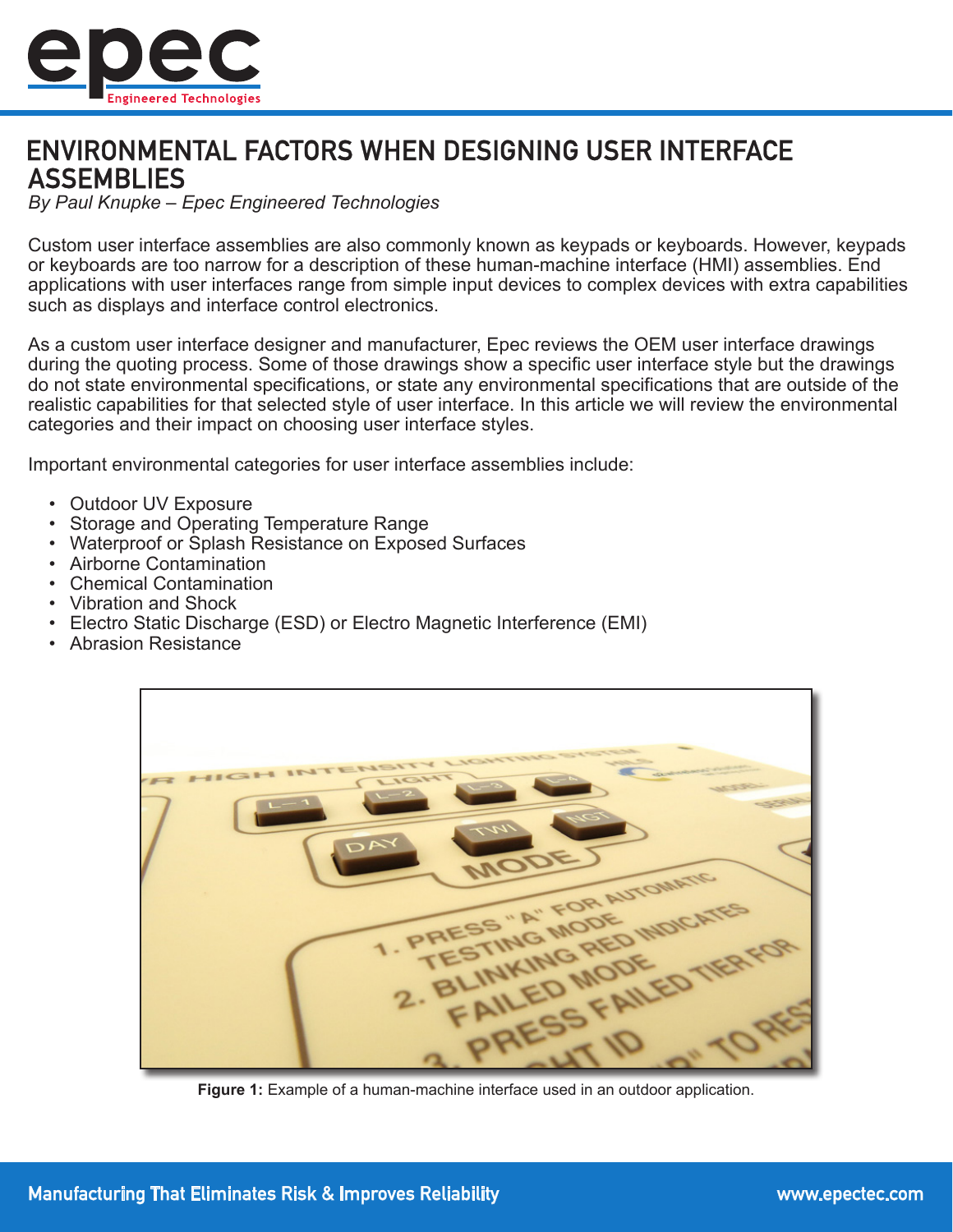

# **ENVIRONMENTAL FACTORS WHEN DESIGNING USER INTERFACE ASSEMBLIES**

*By Paul Knupke – Epec Engineered Technologies*

Custom user interface assemblies are also commonly known as keypads or keyboards. However, keypads or keyboards are too narrow for a description of these human-machine interface (HMI) assemblies. End applications with user interfaces range from simple input devices to complex devices with extra capabilities such as displays and interface control electronics.

As a custom user interface designer and manufacturer, Epec reviews the OEM user interface drawings during the quoting process. Some of those drawings show a specific user interface style but the drawings do not state environmental specifications, or state any environmental specifications that are outside of the realistic capabilities for that selected style of user interface. In this article we will review the environmental categories and their impact on choosing user interface styles.

Important environmental categories for user interface assemblies include:

- Outdoor UV Exposure
- Storage and Operating Temperature Range
- Waterproof or Splash Resistance on Exposed Surfaces
- Airborne Contamination
- Chemical Contamination
- Vibration and Shock
- Electro Static Discharge (ESD) or Electro Magnetic Interference (EMI)
- Abrasion Resistance



**Figure 1:** Example of a human-machine interface used in an outdoor application.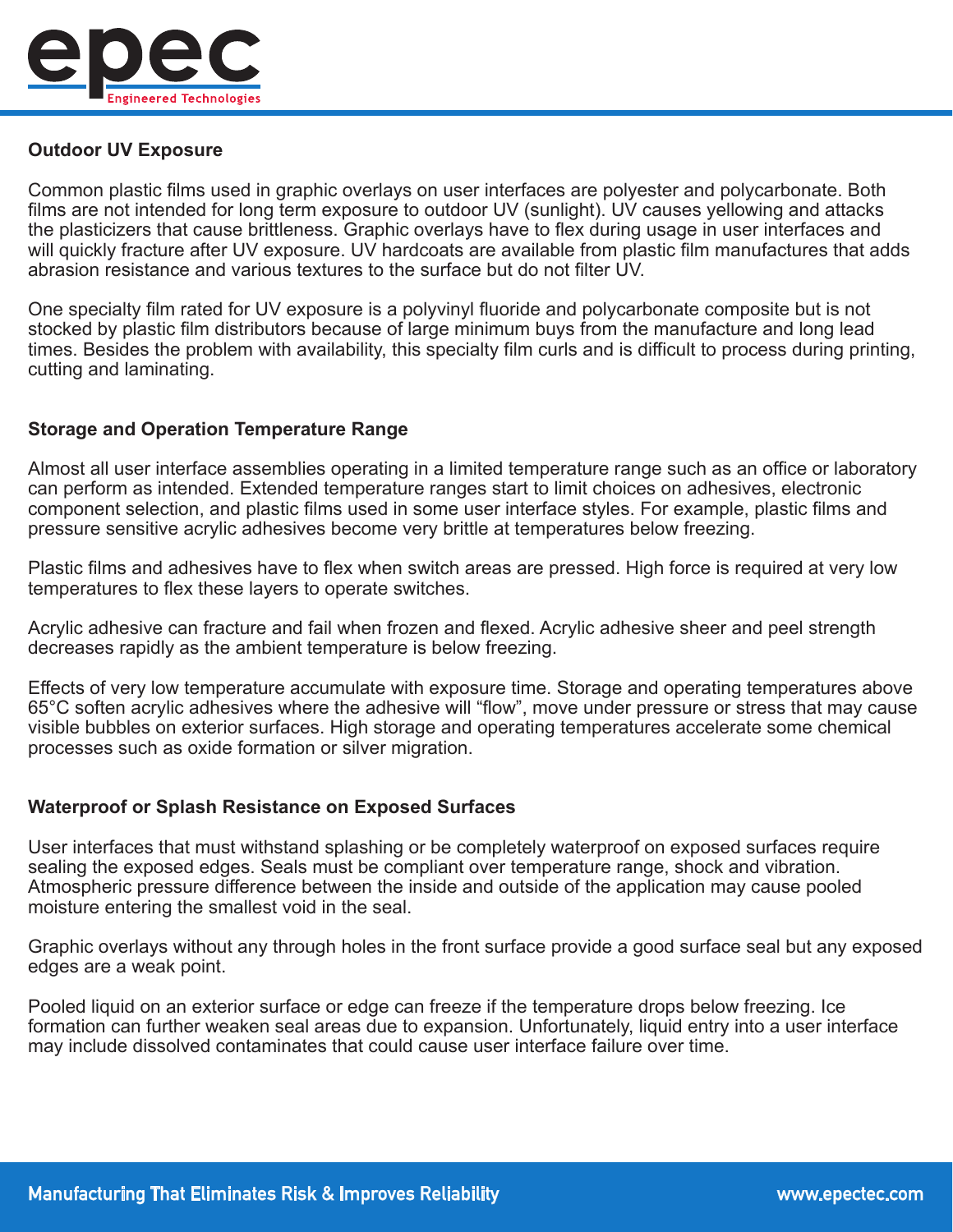

## **Outdoor UV Exposure**

Common plastic films used in graphic overlays on user interfaces are polyester and polycarbonate. Both films are not intended for long term exposure to outdoor UV (sunlight). UV causes yellowing and attacks the plasticizers that cause brittleness. Graphic overlays have to flex during usage in user interfaces and will quickly fracture after UV exposure. UV hardcoats are available from plastic film manufactures that adds abrasion resistance and various textures to the surface but do not filter UV.

One specialty film rated for UV exposure is a polyvinyl fluoride and polycarbonate composite but is not stocked by plastic film distributors because of large minimum buys from the manufacture and long lead times. Besides the problem with availability, this specialty film curls and is difficult to process during printing, cutting and laminating.

### **Storage and Operation Temperature Range**

Almost all user interface assemblies operating in a limited temperature range such as an office or laboratory can perform as intended. Extended temperature ranges start to limit choices on adhesives, electronic component selection, and plastic films used in some user interface styles. For example, plastic films and pressure sensitive acrylic adhesives become very brittle at temperatures below freezing.

Plastic films and adhesives have to flex when switch areas are pressed. High force is required at very low temperatures to flex these layers to operate switches.

Acrylic adhesive can fracture and fail when frozen and flexed. Acrylic adhesive sheer and peel strength decreases rapidly as the ambient temperature is below freezing.

Effects of very low temperature accumulate with exposure time. Storage and operating temperatures above 65°C soften acrylic adhesives where the adhesive will "flow", move under pressure or stress that may cause visible bubbles on exterior surfaces. High storage and operating temperatures accelerate some chemical processes such as oxide formation or silver migration.

#### **Waterproof or Splash Resistance on Exposed Surfaces**

User interfaces that must withstand splashing or be completely waterproof on exposed surfaces require sealing the exposed edges. Seals must be compliant over temperature range, shock and vibration. Atmospheric pressure difference between the inside and outside of the application may cause pooled moisture entering the smallest void in the seal.

Graphic overlays without any through holes in the front surface provide a good surface seal but any exposed edges are a weak point.

Pooled liquid on an exterior surface or edge can freeze if the temperature drops below freezing. Ice formation can further weaken seal areas due to expansion. Unfortunately, liquid entry into a user interface may include dissolved contaminates that could cause user interface failure over time.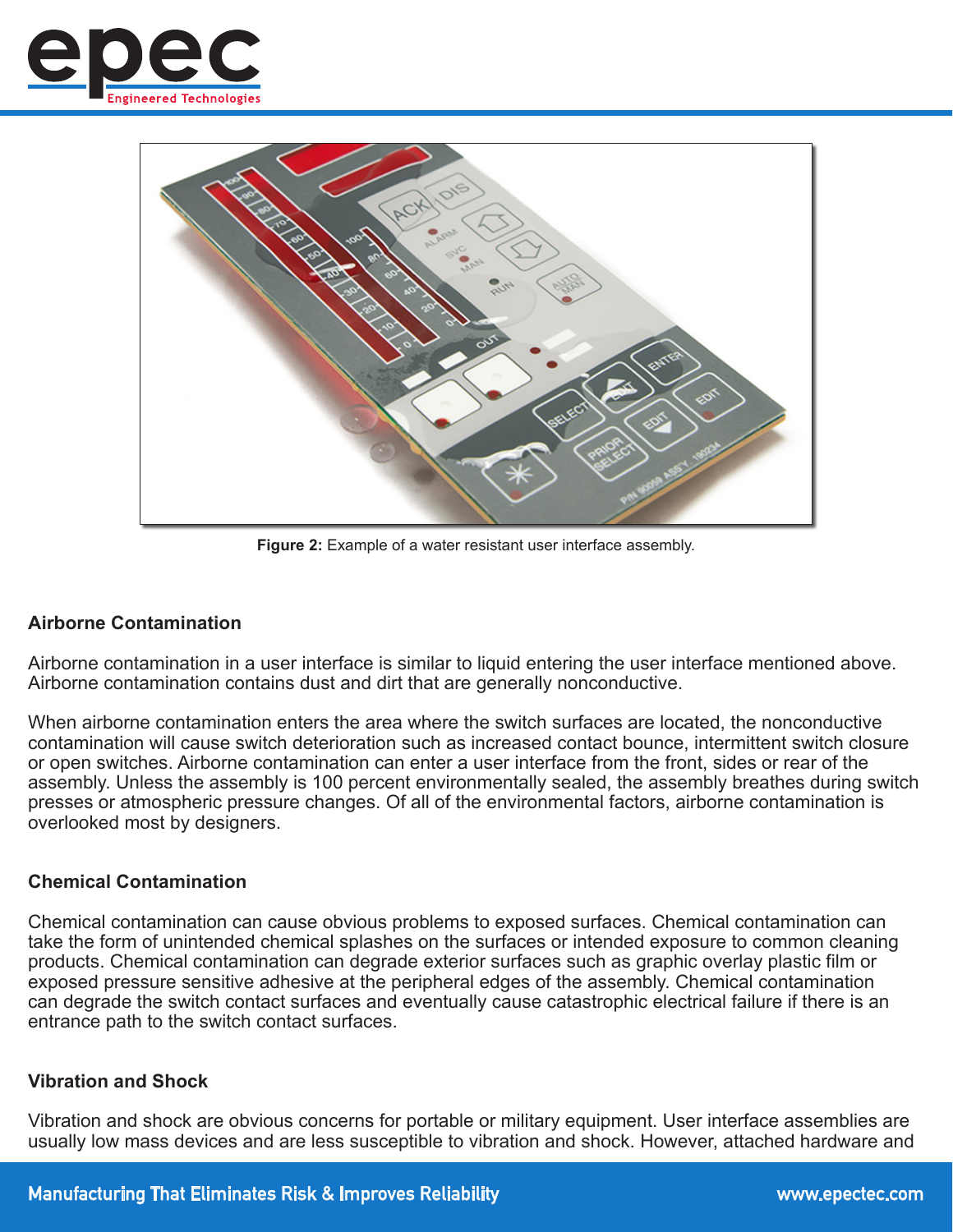



**Figure 2:** Example of a water resistant user interface assembly.

## **Airborne Contamination**

Airborne contamination in a user interface is similar to liquid entering the user interface mentioned above. Airborne contamination contains dust and dirt that are generally nonconductive.

When airborne contamination enters the area where the switch surfaces are located, the nonconductive contamination will cause switch deterioration such as increased contact bounce, intermittent switch closure or open switches. Airborne contamination can enter a user interface from the front, sides or rear of the assembly. Unless the assembly is 100 percent environmentally sealed, the assembly breathes during switch presses or atmospheric pressure changes. Of all of the environmental factors, airborne contamination is overlooked most by designers.

#### **Chemical Contamination**

Chemical contamination can cause obvious problems to exposed surfaces. Chemical contamination can take the form of unintended chemical splashes on the surfaces or intended exposure to common cleaning products. Chemical contamination can degrade exterior surfaces such as graphic overlay plastic film or exposed pressure sensitive adhesive at the peripheral edges of the assembly. Chemical contamination can degrade the switch contact surfaces and eventually cause catastrophic electrical failure if there is an entrance path to the switch contact surfaces.

#### **Vibration and Shock**

Vibration and shock are obvious concerns for portable or military equipment. User interface assemblies are usually low mass devices and are less susceptible to vibration and shock. However, attached hardware and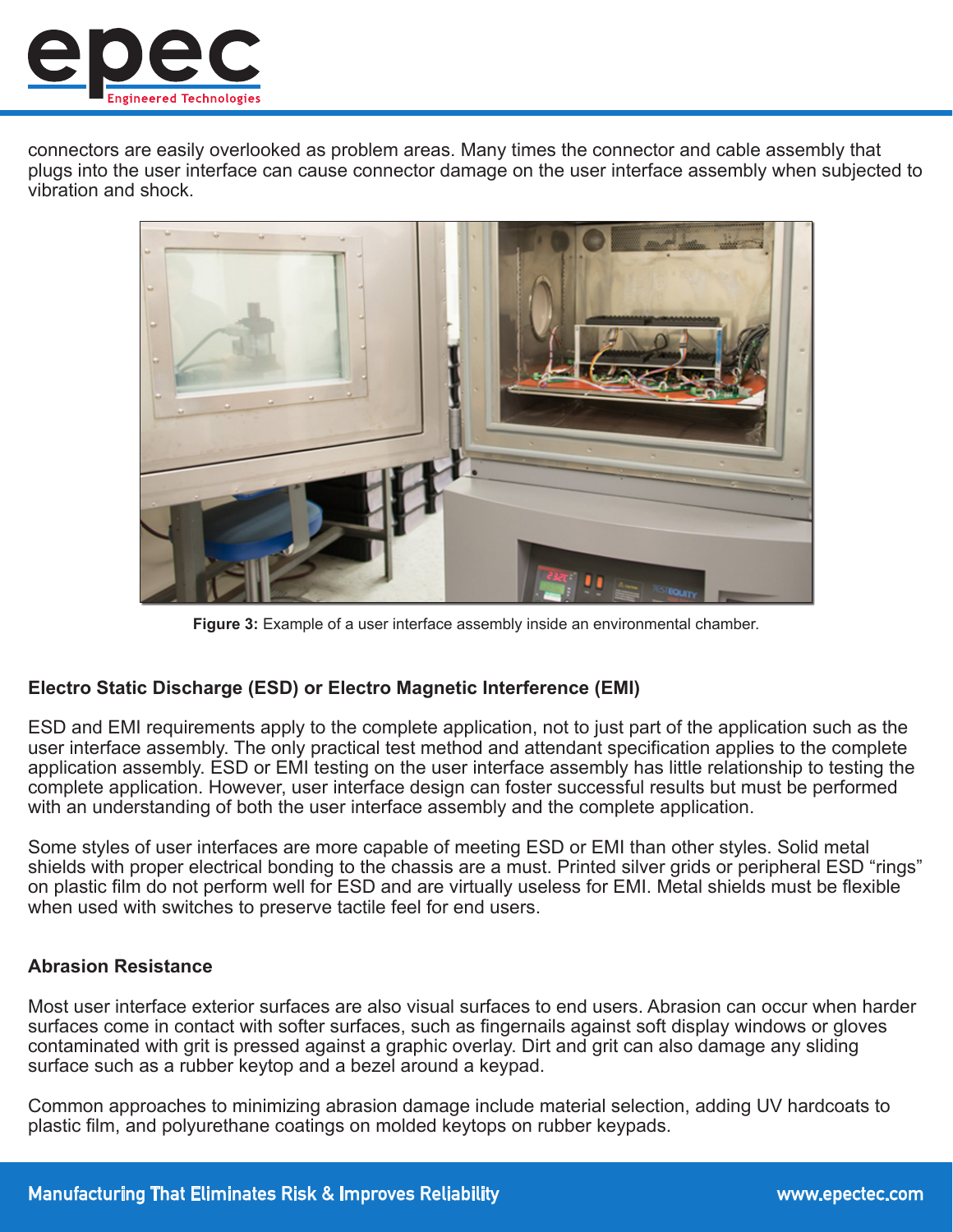

connectors are easily overlooked as problem areas. Many times the connector and cable assembly that plugs into the user interface can cause connector damage on the user interface assembly when subjected to vibration and shock.



**Figure 3:** Example of a user interface assembly inside an environmental chamber.

## **Electro Static Discharge (ESD) or Electro Magnetic Interference (EMI)**

ESD and EMI requirements apply to the complete application, not to just part of the application such as the user interface assembly. The only practical test method and attendant specification applies to the complete application assembly. ESD or EMI testing on the user interface assembly has little relationship to testing the complete application. However, user interface design can foster successful results but must be performed with an understanding of both the user interface assembly and the complete application.

Some styles of user interfaces are more capable of meeting ESD or EMI than other styles. Solid metal shields with proper electrical bonding to the chassis are a must. Printed silver grids or peripheral ESD "rings" on plastic film do not perform well for ESD and are virtually useless for EMI. Metal shields must be flexible when used with switches to preserve tactile feel for end users.

## **Abrasion Resistance**

Most user interface exterior surfaces are also visual surfaces to end users. Abrasion can occur when harder surfaces come in contact with softer surfaces, such as fingernails against soft display windows or gloves contaminated with grit is pressed against a graphic overlay. Dirt and grit can also damage any sliding surface such as a rubber keytop and a bezel around a keypad.

Common approaches to minimizing abrasion damage include material selection, adding UV hardcoats to plastic film, and polyurethane coatings on molded keytops on rubber keypads.